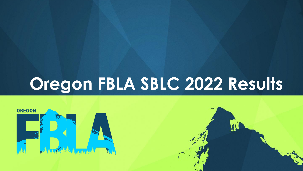# **Oregon FBLA SBLC 2022 Results**



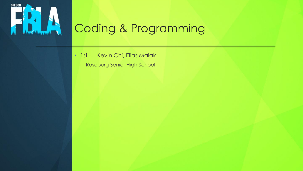

# Coding & Programming

• 1st Kevin Chi, Elias Malak Roseburg Senior High School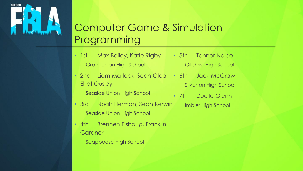

#### Computer Game & Simulation Programming

- 1st Max Bailey, Katie Rigby 5th Tanner Noice Grant Union High School
- 2nd Liam Matlock, Sean Olea, 6th Jack McGraw Elliot Ousley

Seaside Union High School

- 3rd Noah Herman, Sean Kerwin Seaside Union High School
- 4th Brennen Elshaug, Franklin **Gardner** 
	- Scappoose High School
- Gilchrist High School
	- Silverton High School
- 7th Duelle Glenn Imbler High School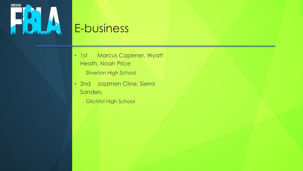

# E-business

- 1st Marcus Capener, Wyatt Heath, Noah Price
	- Silverton High School
- 2nd Jazzmen Cline, Sierra **Sanders** 
	- Gilchrist High School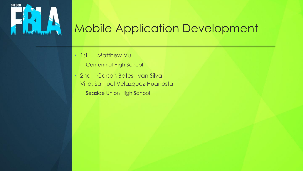

# Mobile Application Development

- 1st Matthew Vu
	- Centennial High School
- 2nd Carson Bates, Ivan Silva-Villa, Samuel Velazquez-Huanosta Seaside Union High School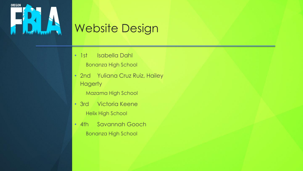

# Website Design

- 1st Isabella Dahl
	- Bonanza High School
- 2nd Yuliana Cruz Ruiz, Hailey **Hagerty** 
	- Mazama High School
- 3rd Victoria Keene Helix High School
- 4th Savannah Gooch Bonanza High School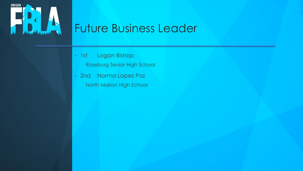

#### Future Business Leader

- 1st Logan Bishop
	- Roseburg Senior High School
- 2nd Norma Lopez Paz North Marion High School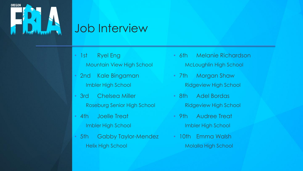

#### Job Interview

- 1st Ryel Eng
	- Mountain View High School
- 2nd Kale Bingaman Imbler High School
- 3rd Chelsea Miller Roseburg Senior High School
- 4th Joelle Treat Imbler High School
- 5th Gabby Taylor-Mendez Helix High School
- 6th Melanie Richardson McLoughlin High School
- 7th Morgan Shaw Ridgeview High School
- 8th Adel Bordas Ridgeview High School
- 9th Audree Treat Imbler High School
- 10th Emma Walsh Molalla High School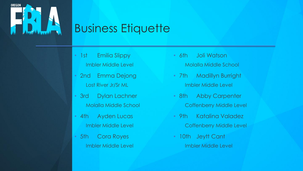

# Business Etiquette

- 1st Emilia Slippy Imbler Middle Level
- 2nd Emma Dejong Lost River Jr/Sr ML
- 3rd Dylan Lachner Molalla Middle School
- 4th Ayden Lucas Imbler Middle Level
- 5th Cora Royes Imbler Middle Level
- 6th Joli Watson Molalla Middle School
- 7th Madillyn Burright Imbler Middle Level
- 8th Abby Carpenter Coffenberry Middle Level
- 9th Katalina Valadez Coffenberry Middle Level
- 10th Jeytt Cant Imbler Middle Level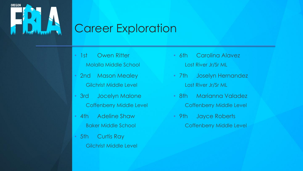

#### Career Exploration

- 1st Owen Ritter Molalla Middle School
- 2nd Mason Mealey Gilchrist Middle Level
- 3rd Jocelyn Malone Coffenberry Middle Level
- 4th Adeline Shaw Baker Middle School
- 5th Curtis Ray Gilchrist Middle Level
- 6th Carolina Alavez Lost River Jr/Sr ML
- 7th Joselyn Hernandez Lost River Jr/Sr ML
- 8th Marianna Valadez Coffenberry Middle Level
- 9th Jayce Roberts Coffenberry Middle Level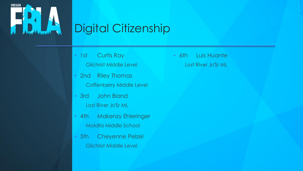

# Digital Citizenship

- 1st Curtis Ray
	- Gilchrist Middle Level
- 2nd Riley Thomas Coffenberry Middle Level
- 3rd John Bland Lost River Jr/Sr ML
- 4th Makenzy Ehleringer Molalla Middle School
- 5th Cheyenne Pelzel Gilchrist Middle Level

• 6th Luis Huante Lost River Jr/Sr ML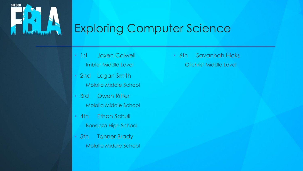

# Exploring Computer Science

- 1st Jaxen Colwell Imbler Middle Level
- 2nd Logan Smith Molalla Middle School
- 3rd Owen Ritter Molalla Middle School
- 4th Ethan Schull Bonanza High School
- 5th Tanner Brady Molalla Middle School

• 6th Savannah Hicks Gilchrist Middle Level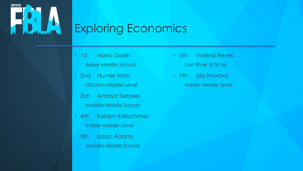

# Exploring Economics

- 1st Harris Gaslin Baker Middle School
- 2nd Hunter Horn Gilchrist Middle Level
- 3rd Amaya Teeples Molalla Middle School
- 4th Kaidyn Kretschmer Imbler Middle Level
- 5th Isaac Adams Molalla Middle School
- 6th Valeria Reyes Lost River Jr/Sr ML
- 7th Isla Howard Imbler Middle Level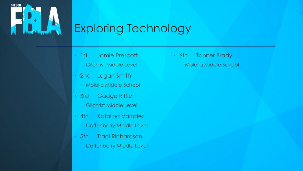

# Exploring Technology

- 1st Jamie Prescott Gilchrist Middle Level
- 2nd Logan Smith Molalla Middle School
- 3rd Gadge Riffle Gilchrist Middle Level
- 4th Katalina Valadez Coffenberry Middle Level
- 5th Traci Richardson Coffenberry Middle Level

• 6th Tanner Brady Molalla Middle School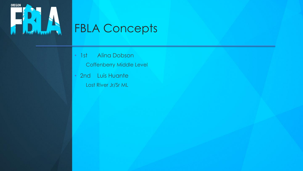

# FBLA Concepts

- 1st Alina Dobson
	- Coffenberry Middle Level
- 2nd Luis Huante Lost River Jr/Sr ML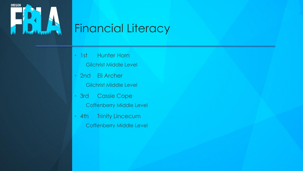

# Financial Literacy

- 1st Hunter Horn
	- Gilchrist Middle Level
- 2nd Eli Archer Gilchrist Middle Level
- 3rd Cassie Cope Coffenberry Middle Level
- 4th Trinity Lincecum Coffenberry Middle Level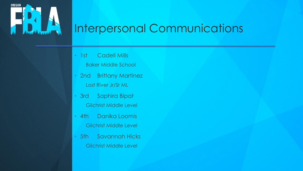

# Interpersonal Communications

- 1st Cadell Mills
	- Baker Middle School
- 2nd Brittany Martinez Lost River Jr/Sr ML
- 3rd Saphira Bipat Gilchrist Middle Level
- 4th Danika Loomis Gilchrist Middle Level
- 5th Savannah Hicks Gilchrist Middle Level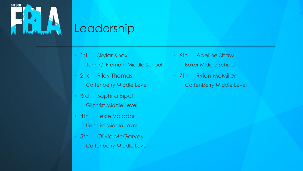

# Leadership

- 1st Skylar Knox
	- John C. Fremont Middle School
- 2nd Riley Thomas Coffenberry Middle Level
- 3rd Saphira Bipat Gilchrist Middle Level
- 4th Lexie Valador Gilchrist Middle Level
- 5th Olivia McGarvey Coffenberry Middle Level
- 6th Adeline Shaw Baker Middle School
- 7th Rylan McMillen Coffenberry Middle Level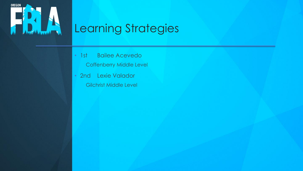

# Learning Strategies

- 1st Bailee Acevedo Coffenberry Middle Level
- 2nd Lexie Valador Gilchrist Middle Level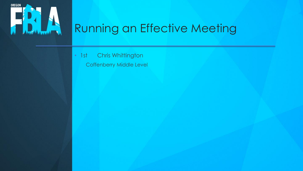

# Running an Effective Meeting

• 1st Chris Whittington

Coffenberry Middle Level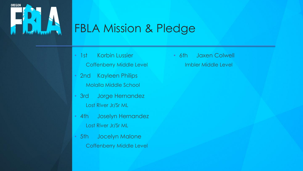

## FBLA Mission & Pledge

- 1st Korbin Lussier Coffenberry Middle Level
- 2nd Kayleen Philips Molalla Middle School
- 3rd Jorge Hernandez Lost River Jr/Sr ML
- 4th Joselyn Hernandez Lost River Jr/Sr ML
- 5th Jocelyn Malone Coffenberry Middle Level

• 6th Jaxen Colwell Imbler Middle Level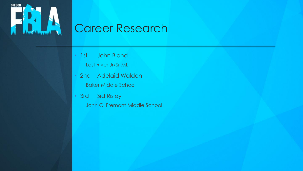

# Career Research

- 1st John Bland
	- Lost River Jr/Sr ML
- 2nd Adelaid Walden Baker Middle School
- 3rd Sid Risley
	- John C. Fremont Middle School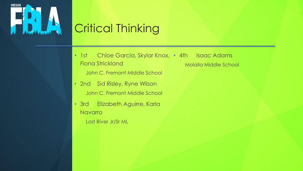

# Critical Thinking

- 1st Chloe Garcia, Skylar Knox, 4th Isaac Adams Fiona Strickland Molalla Middle School
	- John C. Fremont Middle School
- 2nd Sid Risley, Ryne Wilson John C. Fremont Middle School
- 3rd Elizabeth Aguirre, Karla Navarro
	- Lost River Jr/Sr ML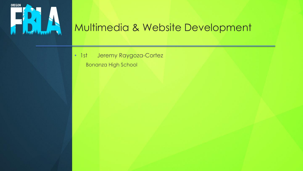

#### Multimedia & Website Development

• 1st Jeremy Raygoza-Cortez Bonanza High School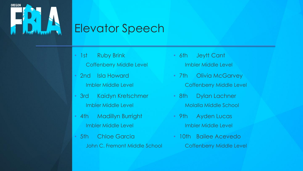

# Elevator Speech

- 1st Ruby Brink
	- Coffenberry Middle Level
- 2nd Isla Howard Imbler Middle Level
- 3rd Kaidyn Kretschmer Imbler Middle Level
- 4th Madillyn Burright Imbler Middle Level
- 5th Chloe Garcia John C. Fremont Middle School
- 6th Jeytt Cant Imbler Middle Level
- 7th Olivia McGarvey Coffenberry Middle Level
- 8th Dylan Lachner Molalla Middle School
- 9th Ayden Lucas Imbler Middle Level
- 10th Bailee Acevedo Coffenberry Middle Level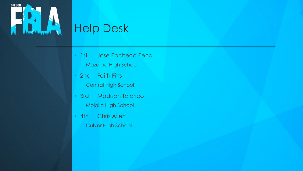

# Help Desk

- 1st Jose Pacheco Pena
	- Mazama High School
- 2nd Faith Fitts Central High School
- 3rd Madison Talarico Molalla High School
- 4th Chris Allen Culver High School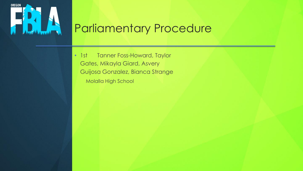

#### Parliamentary Procedure

• 1st Tanner Foss-Howard, Taylor Gates, Mikayla Giard, Asvery Guijosa Gonzalez, Bianca Strange Molalla High School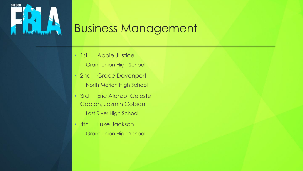

# Business Management

- 1st Abbie Justice Grant Union High School
- 2nd Grace Davenport North Marion High School
- 3rd Eric Alonzo, Celeste Cobian, Jazmin Cobian Lost River High School
- 4th Luke Jackson Grant Union High School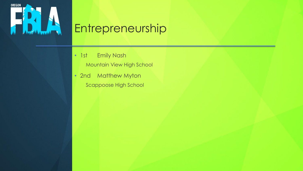

# Entrepreneurship

- 1st Emily Nash
	- Mountain View High School
- 2nd Matthew Myton Scappoose High School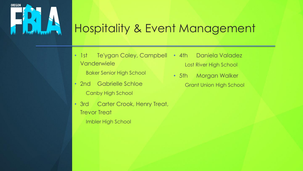

#### Hospitality & Event Management

- 1st Te'ygan Coley, Campbell Vanderwiele • 4th Daniela Valadez
	- Baker Senior High School
- 2nd Gabrielle Schloe Canby High School
- 3rd Carter Crook, Henry Treat, Trevor Treat
	- Imbler High School
- Lost River High School
- 5th Morgan Walker Grant Union High School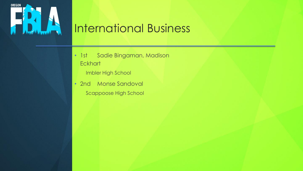

# International Business

- 1st Sadie Bingaman, Madison **Eckhart** 
	- Imbler High School
- 2nd Monse Sandoval Scappoose High School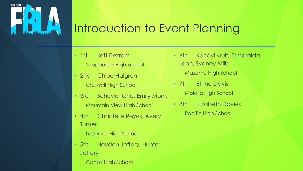

#### Introduction to Event Planning

- 1st Jett Ekstrom Scappoose High School
- 2nd Chloe Halgren Creswell High School
- 3rd Schuyler Cho, Emily Morris Mountain View High School
- 4th Chantelle Reyes, Avery **Turner** 
	- Lost River High School
- 5th Hayden Jeffery, Hunter **Jeffery** 
	- Canby High School
- 6th Kendyl Kruit, Esmeralda Leon, Sydney Mills Mazama High School
- 7th Ethne Davis Molalla High School
- 8th Elizabeth Davies Pacific High School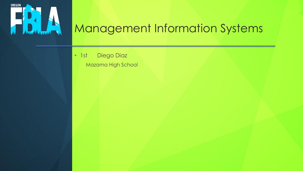

# Management Information Systems

• 1st Diego Diaz

Mazama High School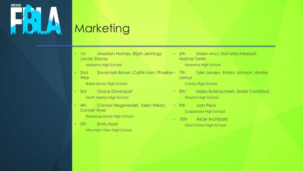

# **Marketing**

- 1st Madalyn Holmes, Elijah Jennings, Jacob Stacey
	- Mazama High School
- 2nd Savannah Brown, Caitlin Lien, Phoebe 7th **Wise**

Baker Senior High School

- 3rd Grace Davenport North Marion High School
- 4th Connor Hergenreder, Talen Wilson, Connor Wyer

Roseburg Senior High School

• 5th Emily Nash Mountain View High School

- 6th Daren Avci, Dori Marchessault, Marcos Torres Mazama High School
	- **Tyler Janzen, Embry Johnson, Ainsley** Lemuz Canby High School
- 8th Haley Butenschoen, Sadie Comstock Stayton High School
- 9th Josh Peck Scappoose High School
- 10th Alicie Archibald Grant Union High School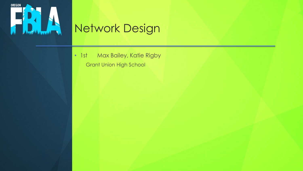

# Network Design

• 1st Max Bailey, Katie Rigby Grant Union High School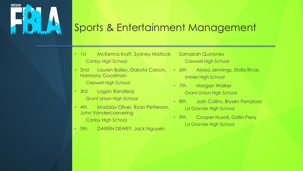

#### Sports & Entertainment Management

- 1st McKenna Kraft, Sydney Matlock Canby High School
- 2nd Lauren Bailey, Dakota Carson, Harmony Goodman Creswell High School
- 3rd Logan Randleas Grant Union High School
- 4th Maddox Oliver, Ryan Petterson, John Vandercoevering Canby High School
- 5th DARIEN DEWEY, Jack Nguyen,
- Samairah Quinones Creswell High School
- 6th Alyssa Jennings, Elidia Rivas Imbler High School
- 7th Morgan Walker Grant Union High School
- 8th Josh Collins, Brysen Penaloza La Grande High School
- 9th Cooper Huxoll, Dallin Perry La Grande High School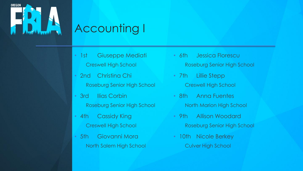

# Accounting I

- 1st Giuseppe Mediati Creswell High School
- 2nd Christina Chi Roseburg Senior High School
- 3rd Ilias Corbin Roseburg Senior High School
- 4th Cassidy King Creswell High School
- 5th Giovanni Mora North Salem High School
- 6th Jessica Florescu Roseburg Senior High School
- 7th Lillie Stepp Creswell High School
- 8th Anna Fuentes North Marion High School
- 9th Allison Woodard Roseburg Senior High School
- 10th Nicole Berkey Culver High School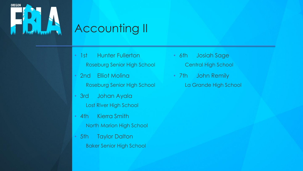

# Accounting II

- 1st Hunter Fullerton
	- Roseburg Senior High School
- 2nd Elliot Molina Roseburg Senior High School
- 3rd Johan Ayala Lost River High School
- 4th Kierra Smith North Marion High School
- 5th Taylor Dalton Baker Senior High School
- 6th Josiah Sage Central High School
- 7th John Remily La Grande High School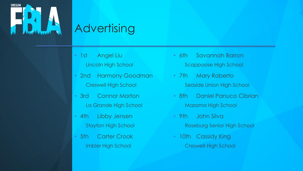

# **Advertising**

- 1st Angel Liu
	- Lincoln High School
- 2nd Harmony Goodman Creswell High School
- 3rd Connor Morton La Grande High School
- 4th Libby Jensen Stayton High School
- 5th Carter Crook Imbler High School
- 6th Savannah Barron Scappoose High School
- 7th Mary Roberto Seaside Union High School
- 8th Daniel Panuco Cibrian Mazama High School
- 9th John Silva Roseburg Senior High School
- 10th Cassidy King Creswell High School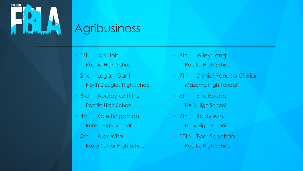

### **Agribusiness**

- 1st Ian Holt
	- Pacific High School
- 2nd Logan Gant North Douglas High School
- 3rd Audrey Griffiths Pacific High School
- 4th Kale Bingaman Imbler High School
- 5th Alex Wise Baker Senior High School
- 6th Wiley Lang Pacific High School
- 7th Daniel Panuco Cibrian Mazama High School
- 8th Ellie Reeder
	- **Helix High School**
- 9th Kolby Ash Helix High School
- 10th Tyler Saechao Pacific High School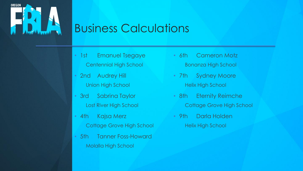

### Business Calculations

- 1st Emanuel Tsegaye Centennial High School
- 2nd Audrey Hill Union High School
- 3rd Sabrina Taylor Lost River High School
- 4th Kajsa Merz Cottage Grove High School
- 5th Tanner Foss-Howard Molalla High School
- 6th Cameron Motz Bonanza High School
- 7th Sydney Moore Helix High School
- 8th Eternity Reimche
	- Cottage Grove High School
- 9th Darla Holden Helix High School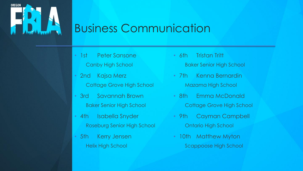

# Business Communication

- 1st Peter Sansone Canby High School
- 2nd Kajsa Merz Cottage Grove High School
- 3rd Savannah Brown Baker Senior High School
- 4th Isabella Snyder Roseburg Senior High School
- 5th Kerry Jensen Helix High School
- 6th Tristan Tritt Baker Senior High School
- 7th Kenna Bernardin Mazama High School
- 8th Emma McDonald
	- Cottage Grove High School
- 9th Cayman Campbell Ontario High School
- 10th Matthew Myton Scappoose High School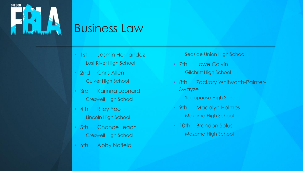

### Business Law

- 1st Jasmin Hernandez Lost River High School
- 2nd Chris Allen Culver High School
- 3rd Karinna Leonard Creswell High School
- 4th Riley Yoo Lincoln High School
- 5th Chance Leach Creswell High School
- 6th Abby Nofield

#### Seaside Union High School

- 7th Lowe Colvin Gilchrist High School
- 8th Zackary Whitworth-Painter-Swayze
	- Scappoose High School
- 9th Madalyn Holmes Mazama High School
- 10th Brendon Solus Mazama High School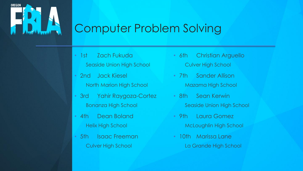

### Computer Problem Solving

- 1st Zach Fukuda Seaside Union High School
- 2nd Jack Kiesel North Marion High School
- 3rd Yahir Raygoza-Cortez Bonanza High School
- 4th Dean Boland Helix High School
- 5th Isaac Freeman Culver High School
- 6th Christian Arguello Culver High School
- 7th Sander Allison Mazama High School
- 8th Sean Kerwin Seaside Union High School
- 9th Laura Gomez McLoughlin High School
- 10th Marissa Lane La Grande High School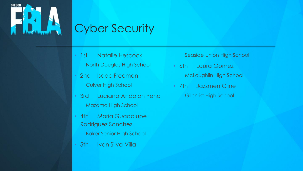

# Cyber Security

- 1st Natalie Hescock
	- North Douglas High School
- 2nd Isaac Freeman Culver High School
- 3rd Luciana Andalon Pena Mazama High School
- 4th Maria Guadalupe Rodriguez Sanchez Baker Senior High School
- 5th Ivan Silva-Villa

Seaside Union High School

- 6th Laura Gomez McLoughlin High School
- 7th Jazzmen Cline Gilchrist High School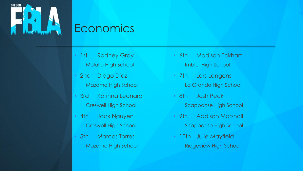

### **Economics**

- 1st Rodney Gray Molalla High School
- 2nd Diego Diaz Mazama High School
- 3rd Karinna Leonard Creswell High School
- 4th Jack Nguyen Creswell High School
- 5th Marcos Torres Mazama High School
- 6th Madison Eckhart Imbler High School
- 7th Lars Langens La Grande High School
- 8th Josh Peck
	- Scappoose High School
- 9th Addison Marshall Scappoose High School
- 10th Julie Mayfield Ridgeview High School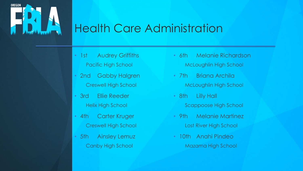

### Health Care Administration

- 1st Audrey Griffiths Pacific High School
- 2nd Gabby Halgren Creswell High School
- 3rd Ellie Reeder Helix High School
- 4th Carter Kruger Creswell High School
- 5th Ainsley Lemuz Canby High School
- 6th Melanie Richardson McLoughlin High School
- 7th Briana Archila McLoughlin High School
- 8th Lilly Hall
	- Scappoose High School
- 9th Melanie Martinez Lost River High School
- 10th Anahi Pindeo Mazama High School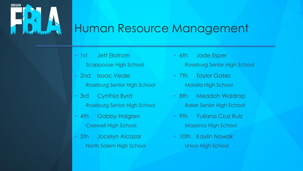

### Human Resource Management

- 1st Jett Ekstrom
	- Scappoose High School
- 2nd Isaac Veale Roseburg Senior High School
- 3rd Cynthia Byrd Roseburg Senior High School
- 4th Gabby Halgren Creswell High School
- 5th Jocelyn Alcazar North Salem High School
- 6th Jade Esper Roseburg Senior High School
- 7th Taylor Gates Molalla High School
- 8th Meadoh Waldrop Baker Senior High School
- 9th Yuliana Cruz Ruiz Mazama High School
- 10th Kaylin Nowak Union High School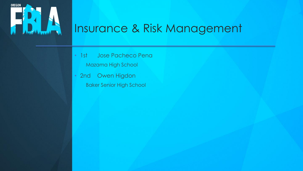

# Insurance & Risk Management

- 1st Jose Pacheco Pena Mazama High School
- 2nd Owen Higdon Baker Senior High School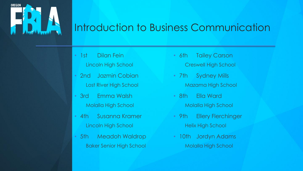

#### Introduction to Business Communication

- 1st Dilan Fein
	- Lincoln High School
- 2nd Jazmin Cobian Lost River High School
- 3rd Emma Walsh Molalla High School
- 4th Susanna Kramer Lincoln High School
- 5th Meadoh Waldrop Baker Senior High School
- 6th Tailey Carson Creswell High School
- 7th Sydney Mills Mazama High School
- 8th Ella Ward
	- Molalla High School
- 9th Ellery Flerchinger Helix High School
- 10th Jordyn Adams Molalla High School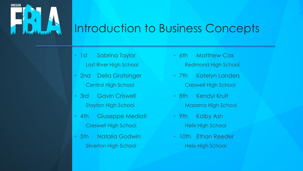

### Introduction to Business Concepts

- 1st Sabrina Taylor Lost River High School
- 2nd Della Gratsinger Central High School
- 3rd Gavin Criswell Stayton High School
- 4th Giuseppe Mediati Creswell High School
- 5th Natalia Godwin Silverton High School
- 6th Matthew Cox Redmond High School
- 7th Katelyn Landers Creswell High School
- 8th Kendyl Kruit
	- Mazama High School
- 9th Kolby Ash Helix High School
- 10th Ethan Reeder Helix High School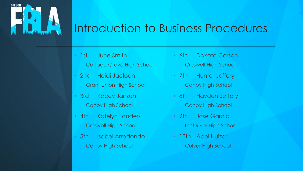

### Introduction to Business Procedures

- 1st June Smith
	- Cottage Grove High School
- 2nd Heidi Jackson Grant Union High School
- 3rd Kacey Janzen Canby High School
- 4th Katelyn Landers Creswell High School
- 5th Isabel Arredondo Canby High School
- 6th Dakota Carson Creswell High School
- 7th Hunter Jeffery Canby High School
- 8th Hayden Jeffery
	- Canby High School
- 9th Jose Garcia Lost River High School
- 10th Abel Huizar Culver High School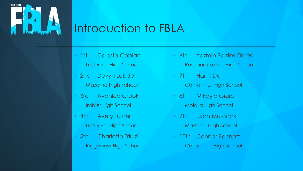

### Introduction to FBLA

- 1st Celeste Cobian Lost River High School
- 2nd Devyn Lobdell Mazama High School
- 3rd Avonlea Crook Imbler High School
- 4th Avery Turner Lost River High School
- 5th Charlotte Triulzi Ridgeview High School
- 6th Yazmin Barrios-Flores Roseburg Senior High School
- 7th Hanh Do Centennial High School
- 8th Mikayla Giard Molalla High School
- 9th Ryan Murdock Mazama High School
- 10th Connor Bennett Centennial High School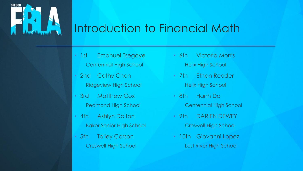

### Introduction to Financial Math

- 1st Emanuel Tsegaye Centennial High School
- 2nd Cathy Chen Ridgeview High School
- 3rd Matthew Cox Redmond High School
- 4th Ashlyn Dalton Baker Senior High School
- 5th Tailey Carson Creswell High School
- 6th Victoria Morris Helix High School
- 7th Ethan Reeder Helix High School
- 8th Hanh Do
	- Centennial High School
- 9th DARIEN DEWEY Creswell High School
- 10th Giovanni Lopez Lost River High School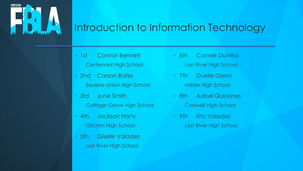

### Introduction to Information Technology

- 1st Connor Bennett Centennial High School
- 2nd Carson Bates Seaside Union High School
- 3rd June Smith Cottage Grove High School
- 4th Jackson Harty Gilchrist High School
- 5th Giselle Valadez Lost River High School
- 6th Conner Dunlea Lost River High School
- 7th Duelle Glenn Imbler High School
- 8th Aabel Quinones Creswell High School
- 9th Eric Valadez Lost River High School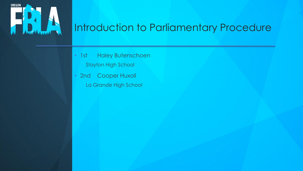

### Introduction to Parliamentary Procedure

- 1st Haley Butenschoen Stayton High School
- 2nd Cooper Huxoll La Grande High School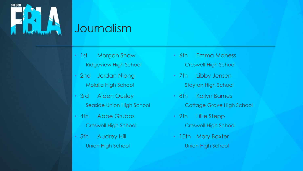

### Journalism

- 1st Morgan Shaw Ridgeview High School
- 2nd Jordan Niang Molalla High School
- 3rd Aiden Ousley Seaside Union High School
- 4th Abbe Grubbs Creswell High School
- 5th Audrey Hill Union High School
- 6th Emma Maness Creswell High School
- 7th Libby Jensen Stayton High School
- 8th Kailyn Barnes
	- Cottage Grove High School
- 9th Lillie Stepp Creswell High School
- 10th Mary Baxter Union High School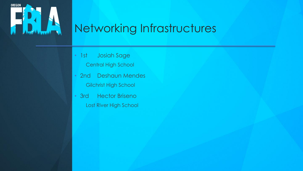

# Networking Infrastructures

- 1st Josiah Sage
	- Central High School
- 2nd Deshaun Mendes Gilchrist High School
- 3rd Hector Briseno Lost River High School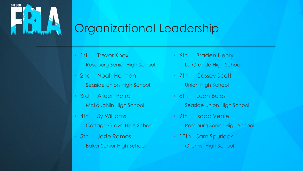

### Organizational Leadership

- 1st Trevor Knox
	- Roseburg Senior High School
- 2nd Noah Herman Seaside Union High School
- 3rd Aileen Parra McLoughlin High School
- 4th Sy Williams Cottage Grove High School
- 5th Jozie Ramos Baker Senior High School
- 6th Braden Henry La Grande High School
- 7th Cassey Scott Union High School
- 8th Leah Boles
	- Seaside Union High School
- 9th Isaac Veale Roseburg Senior High School
- 10th Sam Spurlock Gilchrist High School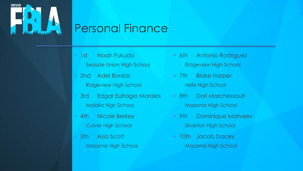

### Personal Finance

- 1st Noah Fukuda
	- Seaside Union High School
- 2nd Adel Bordas Ridgeview High School
- 3rd Edgar Eufragio Morales Molalla High School
- 4th Nicole Berkey Culver High School
- 5th Asia Scott Mazama High School
- 6th Antonio Rodriguez Ridgeview High School
- 7th Blake Harper Helix High School
- 8th Dori Marchessault Mazama High School
- 9th Dominique Matveev Silverton High School
- 10th Jacob Stacey Mazama High School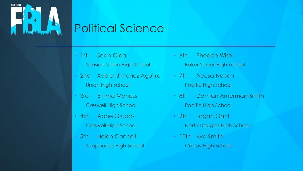

# Political Science

- 1st Sean Olea
	- Seaside Union High School
- 2nd Xabier Jimenez Aguirre Union High School
- 3rd Emma Maness Creswell High School
- 4th Abbe Grubbs Creswell High School
- 5th Helen Connell Scappoose High School
- 6th Phoebe Wise Baker Senior High School
- 7th Neesa Nelson Pacific High School
- 8th Damian Amerman-Smith
	- Pacific High School
- 9th Logan Gant North Douglas High School
- 10th Kya Smith Canby High School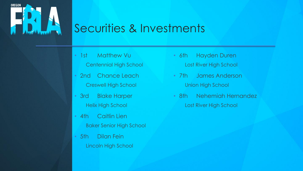

### Securities & Investments

- 1st Matthew Vu
	- Centennial High School
- 2nd Chance Leach Creswell High School
- 3rd Blake Harper Helix High School
- 4th Caitlin Lien Baker Senior High School
- 5th Dilan Fein Lincoln High School
- 6th Hayden Duren Lost River High School
- 7th James Anderson Union High School
- 8th Nehemiah Hernandez Lost River High School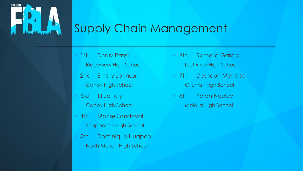

### Supply Chain Management

- 1st Dhruv Patel
	- Ridgeview High School
- 2nd Embry Johnson Canby High School
- 3rd TJ Jeffery Canby High School
- 4th Monse Sandoval Scappoose High School
- 5th Dominique Huapeo North Marion High School
- 6th Romelia Garcia Lost River High School
- 7th Deshaun Mendes Gilchrist High School
- 8th Kaidn Neeley Molalla High School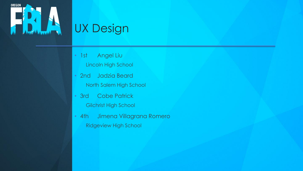

# UX Design

- 1st Angel Liu
	- Lincoln High School
- 2nd Jadzia Beard North Salem High School
- 3rd Cobe Patrick Gilchrist High School
- 4th Jimena Villagrana Romero Ridgeview High School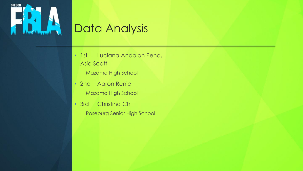

# Data Analysis

- 1st Luciana Andalon Pena, Asia Scott
	- Mazama High School
- 2nd Aaron Renie Mazama High School
- 3rd Christina Chi Roseburg Senior High School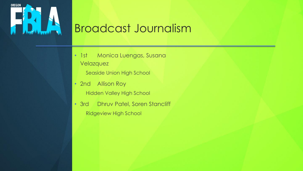

## Broadcast Journalism

- 1st Monica Luengas, Susana Velazquez
	- Seaside Union High School
- 2nd Allison Roy Hidden Valley High School
- 3rd Dhruv Patel, Soren Stancliff Ridgeview High School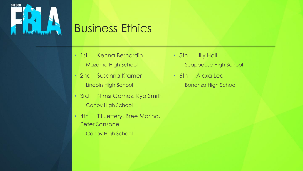

### Business Ethics

- 1st Kenna Bernardin Mazama High School
- 2nd Susanna Kramer Lincoln High School
- 3rd Nimsi Gomez, Kya Smith Canby High School
- 4th TJ Jeffery, Bree Marino, Peter Sansone
	- Canby High School
- 5th Lilly Hall Scappoose High School
- 6th Alexa Lee Bonanza High School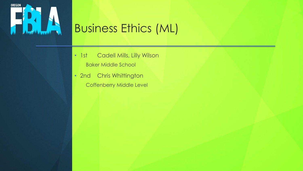

# Business Ethics (ML)

- 1st Cadell Mills, Lilly Wilson Baker Middle School
- 2nd Chris Whittington Coffenberry Middle Level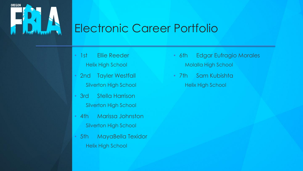

### Electronic Career Portfolio

- 1st Ellie Reeder Helix High School
- 2nd Tayler Westfall Silverton High School
- 3rd Stella Harrison Silverton High School
- 4th Marissa Johnston Silverton High School
- 5th MayaBella Texidor Helix High School
- 6th Edgar Eufragio Morales Molalla High School
- 7th Sam Kubishta Helix High School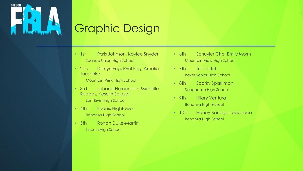

# Graphic Design

- 1st Paris Johnson, Kaylee Snyder Seaside Union High School
- 2nd Deklyn Eng, Ryel Eng, Amelia Jueschke

Mountain View High School

• 3rd Johana Hernandez, Michelle Ruedas, Yoselin Salazar

Lost River High School

- 4th Feanix Hightower Bonanza High School
- 5th Ronan Duke-Martin Lincoln High School
- 6th Schuyler Cho, Emily Morris Mountain View High School
- 7th Tristan Tritt Baker Senior High School
- 8th Sparky Sparkman Scappoose High School
- 9th Hilary Ventura Bonanza High School
- 10th Honey Banegas-pacheco Bonanza High School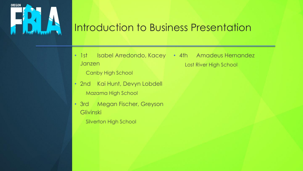

#### Introduction to Business Presentation

- 1st Isabel Arredondo, Kacey 4th Amadeus Hernandez Janzen Lost River High School
	- Canby High School
- 2nd Kai Hunt, Devyn Lobdell Mazama High School
- 3rd Megan Fischer, Greyson **Glivinski** 
	- Silverton High School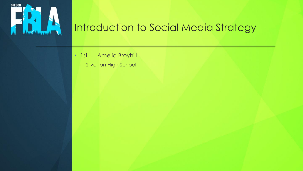

#### Introduction to Social Media Strategy

• 1st Amelia Broyhill Silverton High School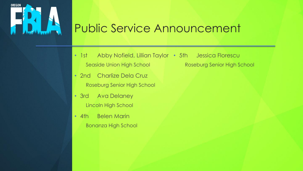

# Public Service Announcement

- 1st Abby Nofield, Lillian Taylor 5th Jessica Florescu Seaside Union High School **Seaside Union High School** Roseburg Senior High School
- 2nd Charlize Dela Cruz Roseburg Senior High School
- 3rd Ava Delaney Lincoln High School
- 4th Belen Marin Bonanza High School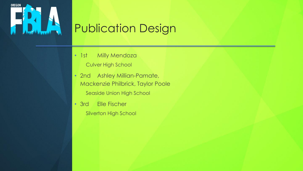

# Publication Design

- 1st Milly Mendoza
	- Culver High School
- 2nd Ashley Millian-Pamate, Mackenzie Philbrick, Taylor Poole Seaside Union High School
- 3rd Elle Fischer Silverton High School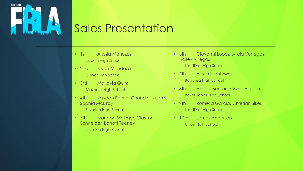

### Sales Presentation

- 1st Alyssia Menezes Lincoln High School
- 2nd Bryan Mendoza Culver High School
- 3rd Makayla Quirk Mazama High School
- 4th Kayden Eberle, Chandler Kuenzi, Sophia McElroy

Silverton High School

• 5th Brandon Metzger, Clayton Schneider, Barrett Teeney

Silverton High School

- 6th Giovanni Lopez, Alicia Venegas, Hailey Villegas Lost River High School
- 7th Austin Hightower Bonanza High School
- 8th Abigail Benson, Owen Higdon Baker Senior High School
- 9th Romelia Garcia, Christian Sikes Lost River High School
- 10th James Anderson Union High School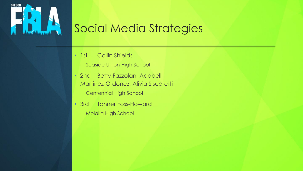

# Social Media Strategies

- 1st Collin Shields
	- Seaside Union High School
- 2nd Betty Fazzolan, Adabell Martinez-Ordonez, Alivia Siscaretti Centennial High School
- 3rd Tanner Foss-Howard Molalla High School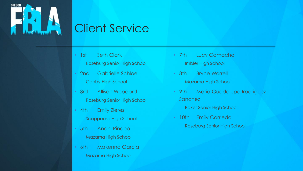

# Client Service

- 1st Seth Clark Roseburg Senior High School
- 2nd Gabrielle Schloe Canby High School
- 3rd Allison Woodard Roseburg Senior High School
- 4th Emily Zieres Scappoose High School
- 5th Anahi Pindeo Mazama High School
- 6th Makenna Garcia Mazama High School
- 7th Lucy Camacho Imbler High School
- 8th Bryce Worrell Mazama High School
- 9th Maria Guadalupe Rodriguez Sanchez
	- Baker Senior High School
- 10th Emily Carriedo Roseburg Senior High School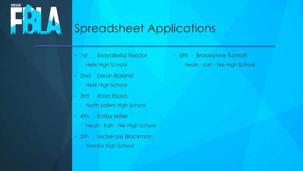

## Spreadsheet Applications

- 1st MayaBella Texidor Helix High School
- 2nd Dean Boland Helix High School
- 3rd Rosa Eliosa North Salem High School
- 4th Kolby Miller
	- Neah Kah Nie High School
- 5th Mckenzie Blackman Molalla High School

• 6th Brooklynne Konruff Neah - Kah - Nie High School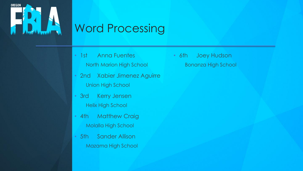

# Word Processing

- 1st Anna Fuentes
	- North Marion High School
- 2nd Xabier Jimenez Aguirre Union High School
- 3rd Kerry Jensen Helix High School
- 4th Matthew Craig Molalla High School
- 5th Sander Allison Mazama High School

• 6th Joey Hudson Bonanza High School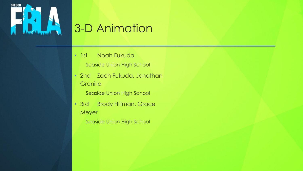

# 3-D Animation

- 1st Noah Fukuda
	- Seaside Union High School
- 2nd Zach Fukuda, Jonathan **Granillo** 
	- Seaside Union High School
- 3rd Brody Hillman, Grace Meyer
	- Seaside Union High School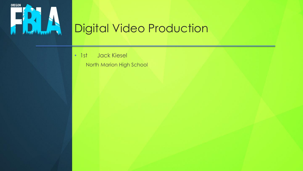

# Digital Video Production

• 1st Jack Kiesel

North Marion High School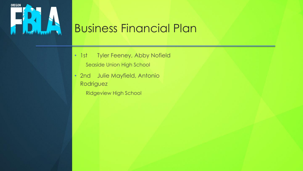

### Business Financial Plan

- 1st Tyler Feeney, Abby Nofield Seaside Union High School
- 2nd Julie Mayfield, Antonio Rodriguez
	- Ridgeview High School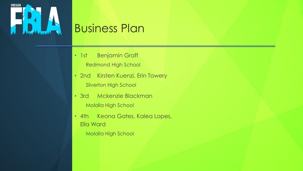

# Business Plan

- 1st Benjamin Graff
	- Redmond High School
- 2nd Kirsten Kuenzi, Erin Towery Silverton High School
- 3rd Mckenzie Blackman Molalla High School
- 4th Keona Gates, Kalea Lopes, Ella Ward
	- Molalla High School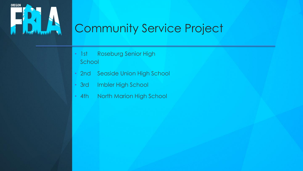

# Community Service Project

- 1st Roseburg Senior High School
- 2nd Seaside Union High School
- 3rd Imbler High School
- 4th North Marion High School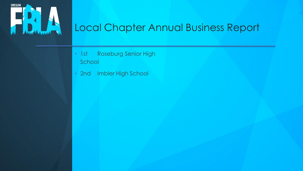

#### Local Chapter Annual Business Report

- 1st Roseburg Senior High School
- 2nd Imbler High School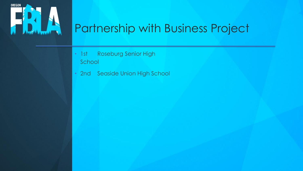

# Partnership with Business Project

- 1st Roseburg Senior High School
- 2nd Seaside Union High School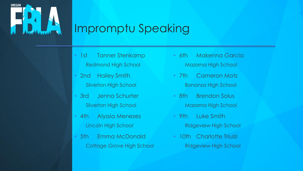

# Impromptu Speaking

- 1st Tanner Stenkamp Redmond High School
- 2nd Hailey Smith Silverton High School
- 3rd Jenna Schurter Silverton High School
- 4th Alyssia Menezes Lincoln High School
- 5th Emma McDonald Cottage Grove High School
- 6th Makenna Garcia Mazama High School
- 7th Cameron Motz Bonanza High School
- 8th Brendon Solus Mazama High School
- 9th Luke Smith Ridgeview High School
- 10th Charlotte Triulzi Ridgeview High School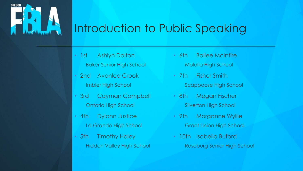

# Introduction to Public Speaking

- 1st Ashlyn Dalton Baker Senior High School
- 2nd Avonlea Crook Imbler High School
- 3rd Cayman Campbell Ontario High School
- 4th Dylann Justice La Grande High School
- 5th Timothy Haley Hidden Valley High School
- 6th Bailee McIntire Molalla High School
- 7th Fisher Smith Scappoose High School
- 8th Megan Fischer Silverton High School
- 9th Morganne Wyllie Grant Union High School
- 10th Isabella Buford Roseburg Senior High School